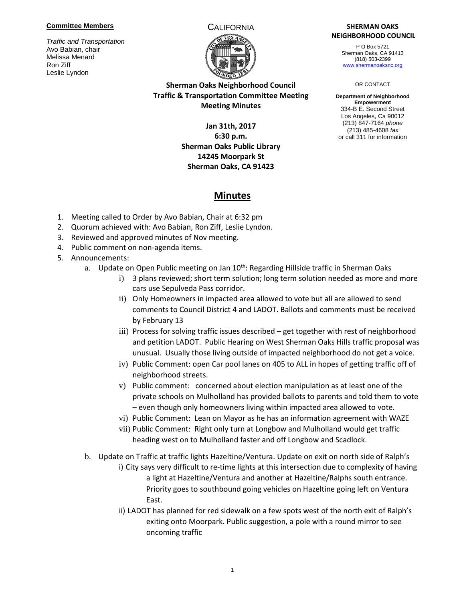#### **Committee Members**

*Traffic and Transportation* Avo Babian, chair Melissa Menard Ron Ziff Leslie Lyndon



**Sherman Oaks Neighborhood Council Traffic & Transportation Committee Meeting Meeting Minutes**

# **Jan 31th, 2017 6:30 p.m. Sherman Oaks Public Library 14245 Moorpark St Sherman Oaks, CA 91423**

# **Minutes**

- 1. Meeting called to Order by Avo Babian, Chair at 6:32 pm
- 2. Quorum achieved with: Avo Babian, Ron Ziff, Leslie Lyndon.
- 3. Reviewed and approved minutes of Nov meeting.
- 4. Public comment on non-agenda items.
- 5. Announcements:
	- a. Update on Open Public meeting on Jan 10<sup>th</sup>: Regarding Hillside traffic in Sherman Oaks
		- i) 3 plans reviewed; short term solution; long term solution needed as more and more cars use Sepulveda Pass corridor.
		- ii) Only Homeowners in impacted area allowed to vote but all are allowed to send comments to Council District 4 and LADOT. Ballots and comments must be received by February 13
		- iii) Process for solving traffic issues described get together with rest of neighborhood and petition LADOT. Public Hearing on West Sherman Oaks Hills traffic proposal was unusual. Usually those living outside of impacted neighborhood do not get a voice.
		- iv) Public Comment: open Car pool lanes on 405 to ALL in hopes of getting traffic off of neighborhood streets.
		- v) Public comment: concerned about election manipulation as at least one of the private schools on Mulholland has provided ballots to parents and told them to vote – even though only homeowners living within impacted area allowed to vote.
		- vi) Public Comment: Lean on Mayor as he has an information agreement with WAZE
		- vii) Public Comment: Right only turn at Longbow and Mulholland would get traffic heading west on to Mulholland faster and off Longbow and Scadlock.
	- b. Update on Traffic at traffic lights Hazeltine/Ventura. Update on exit on north side of Ralph's
		- i) City says very difficult to re-time lights at this intersection due to complexity of having a light at Hazeltine/Ventura and another at Hazeltine/Ralphs south entrance. Priority goes to southbound going vehicles on Hazeltine going left on Ventura East.
		- ii) LADOT has planned for red sidewalk on a few spots west of the north exit of Ralph's exiting onto Moorpark. Public suggestion, a pole with a round mirror to see oncoming traffic

#### CALIFORNIA **SHERMAN OAKS NEIGHBORHOOD COUNCIL**

P O Box 5721 Sherman Oaks, CA 91413 (818) 503-2399 [www.shermanoaksnc.org](http://www.shermanoaksnc.org/)

OR CONTACT

**Department of Neighborhood Empowerment** 334-B E. Second Street Los Angeles, Ca 90012 (213) 847-7164 *phone* (213) 485-4608 *fax* or call 311 for information